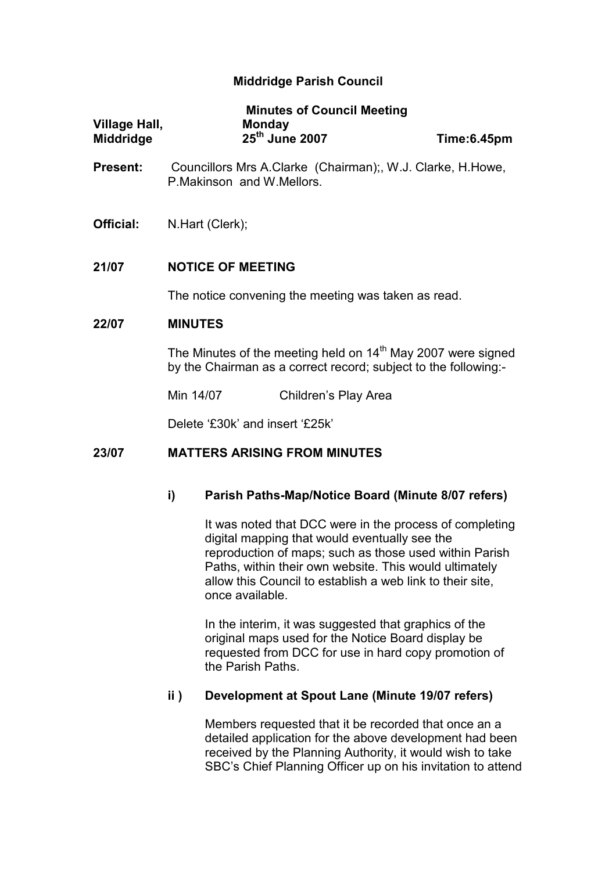## Middridge Parish Council

|               | <b>Minutes of Council Meeting</b> |             |
|---------------|-----------------------------------|-------------|
| Village Hall, | <b>Monday</b>                     |             |
| Middridge     | 25 <sup>th</sup> June 2007        | Time:6.45pm |

- Present: Councillors Mrs A.Clarke (Chairman);, W.J. Clarke, H.Howe, P.Makinson and W.Mellors.
- Official: N.Hart (Clerk);

## 21/07 NOTICE OF MEETING

The notice convening the meeting was taken as read.

### 22/07 MINUTES

The Minutes of the meeting held on  $14<sup>th</sup>$  May 2007 were signed by the Chairman as a correct record; subject to the following:-

Min 14/07 Children's Play Area

Delete '£30k' and insert '£25k'

## 23/07 MATTERS ARISING FROM MINUTES

### i) Parish Paths-Map/Notice Board (Minute 8/07 refers)

 It was noted that DCC were in the process of completing digital mapping that would eventually see the reproduction of maps; such as those used within Parish Paths, within their own website. This would ultimately allow this Council to establish a web link to their site, once available.

 In the interim, it was suggested that graphics of the original maps used for the Notice Board display be requested from DCC for use in hard copy promotion of the Parish Paths.

### ii ) Development at Spout Lane (Minute 19/07 refers)

Members requested that it be recorded that once an a detailed application for the above development had been received by the Planning Authority, it would wish to take SBC's Chief Planning Officer up on his invitation to attend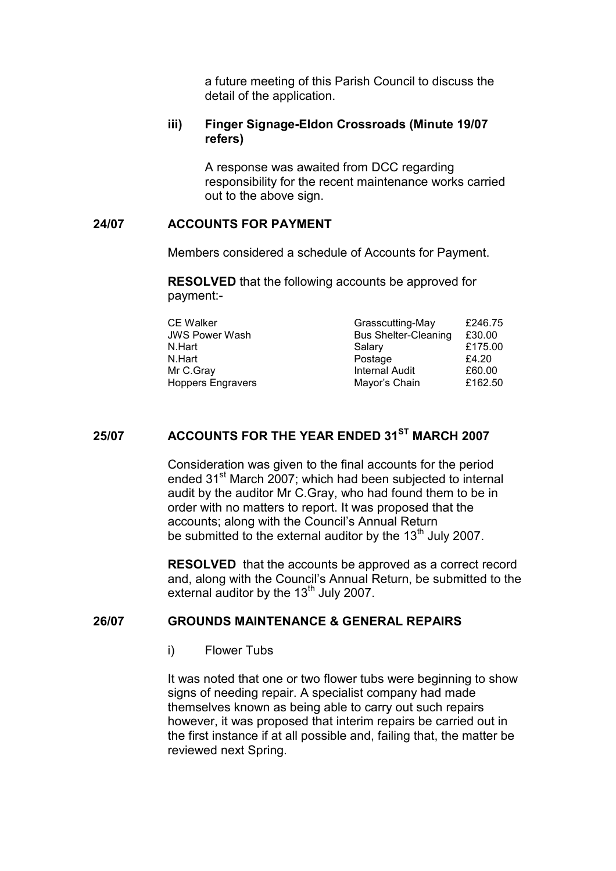a future meeting of this Parish Council to discuss the detail of the application.

### iii) Finger Signage-Eldon Crossroads (Minute 19/07 refers)

A response was awaited from DCC regarding responsibility for the recent maintenance works carried out to the above sign.

### 24/07 ACCOUNTS FOR PAYMENT

Members considered a schedule of Accounts for Payment.

RESOLVED that the following accounts be approved for payment:-

| Grasscutting-May            | £246.75 |
|-----------------------------|---------|
| <b>Bus Shelter-Cleaning</b> | £30.00  |
| Salary                      | £175.00 |
| Postage                     | £4.20   |
| <b>Internal Audit</b>       | £60.00  |
| Mayor's Chain               | £162.50 |
|                             |         |

# 25/07 ACCOUNTS FOR THE YEAR ENDED 31<sup>ST</sup> MARCH 2007

Consideration was given to the final accounts for the period ended 31<sup>st</sup> March 2007; which had been subjected to internal audit by the auditor Mr C.Gray, who had found them to be in order with no matters to report. It was proposed that the accounts; along with the Council's Annual Return be submitted to the external auditor by the  $13<sup>th</sup>$  July 2007.

RESOLVED that the accounts be approved as a correct record and, along with the Council's Annual Return, be submitted to the external auditor by the  $13<sup>th</sup>$  July 2007.

### 26/07 GROUNDS MAINTENANCE & GENERAL REPAIRS

i) Flower Tubs

 It was noted that one or two flower tubs were beginning to show signs of needing repair. A specialist company had made themselves known as being able to carry out such repairs however, it was proposed that interim repairs be carried out in the first instance if at all possible and, failing that, the matter be reviewed next Spring.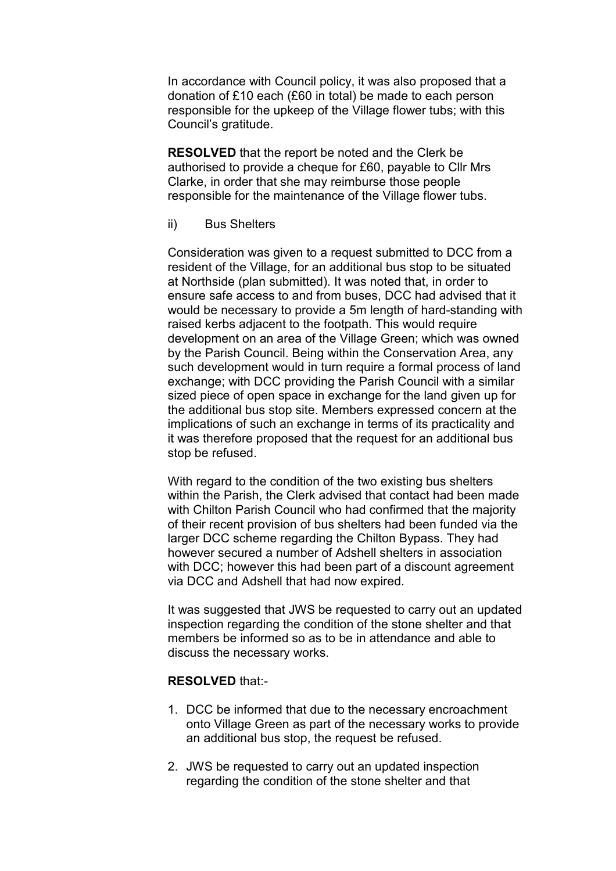In accordance with Council policy, it was also proposed that a donation of £10 each (£60 in total) be made to each person responsible for the upkeep of the Village flower tubs; with this Council's gratitude.

RESOLVED that the report be noted and the Clerk be authorised to provide a cheque for £60, payable to Cllr Mrs Clarke, in order that she may reimburse those people responsible for the maintenance of the Village flower tubs.

ii) Bus Shelters

Consideration was given to a request submitted to DCC from a resident of the Village, for an additional bus stop to be situated at Northside (plan submitted). It was noted that, in order to ensure safe access to and from buses, DCC had advised that it would be necessary to provide a 5m length of hard-standing with raised kerbs adjacent to the footpath. This would require development on an area of the Village Green; which was owned by the Parish Council. Being within the Conservation Area, any such development would in turn require a formal process of land exchange; with DCC providing the Parish Council with a similar sized piece of open space in exchange for the land given up for the additional bus stop site. Members expressed concern at the implications of such an exchange in terms of its practicality and it was therefore proposed that the request for an additional bus stop be refused.

With regard to the condition of the two existing bus shelters within the Parish, the Clerk advised that contact had been made with Chilton Parish Council who had confirmed that the majority of their recent provision of bus shelters had been funded via the larger DCC scheme regarding the Chilton Bypass. They had however secured a number of Adshell shelters in association with DCC; however this had been part of a discount agreement via DCC and Adshell that had now expired.

It was suggested that JWS be requested to carry out an updated inspection regarding the condition of the stone shelter and that members be informed so as to be in attendance and able to discuss the necessary works.

### RESOLVED that:-

- 1. DCC be informed that due to the necessary encroachment onto Village Green as part of the necessary works to provide an additional bus stop, the request be refused.
- 2. JWS be requested to carry out an updated inspection regarding the condition of the stone shelter and that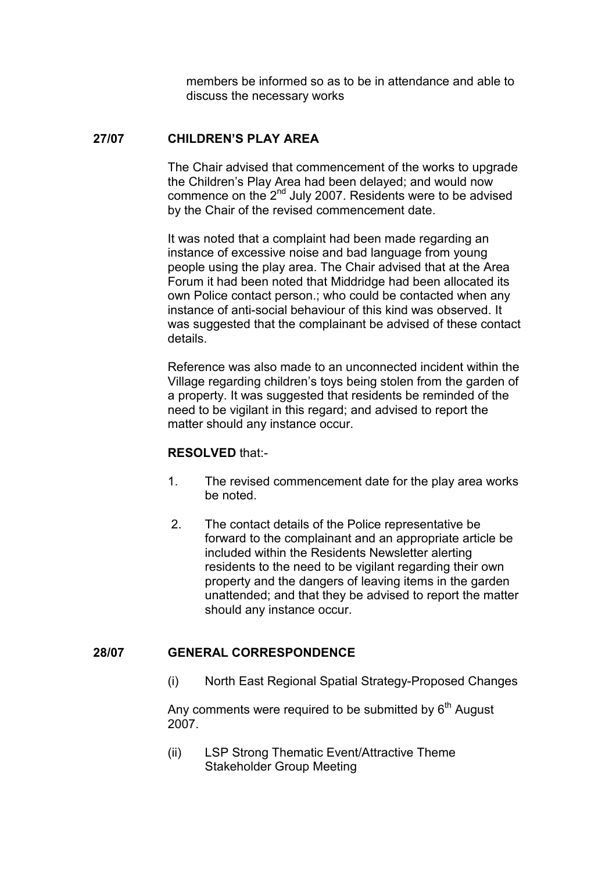members be informed so as to be in attendance and able to discuss the necessary works

## 27/07 CHILDREN'S PLAY AREA

The Chair advised that commencement of the works to upgrade the Children's Play Area had been delayed; and would now commence on the 2<sup>nd</sup> July 2007. Residents were to be advised by the Chair of the revised commencement date.

It was noted that a complaint had been made regarding an instance of excessive noise and bad language from young people using the play area. The Chair advised that at the Area Forum it had been noted that Middridge had been allocated its own Police contact person.; who could be contacted when any instance of anti-social behaviour of this kind was observed. It was suggested that the complainant be advised of these contact details.

Reference was also made to an unconnected incident within the Village regarding children's toys being stolen from the garden of a property. It was suggested that residents be reminded of the need to be vigilant in this regard; and advised to report the matter should any instance occur.

### RESOLVED that:-

- 1. The revised commencement date for the play area works be noted.
- 2. The contact details of the Police representative be forward to the complainant and an appropriate article be included within the Residents Newsletter alerting residents to the need to be vigilant regarding their own property and the dangers of leaving items in the garden unattended; and that they be advised to report the matter should any instance occur.

## 28/07 GENERAL CORRESPONDENCE

(i) North East Regional Spatial Strategy-Proposed Changes

Any comments were required to be submitted by  $6<sup>th</sup>$  August 2007.

(ii) LSP Strong Thematic Event/Attractive Theme Stakeholder Group Meeting